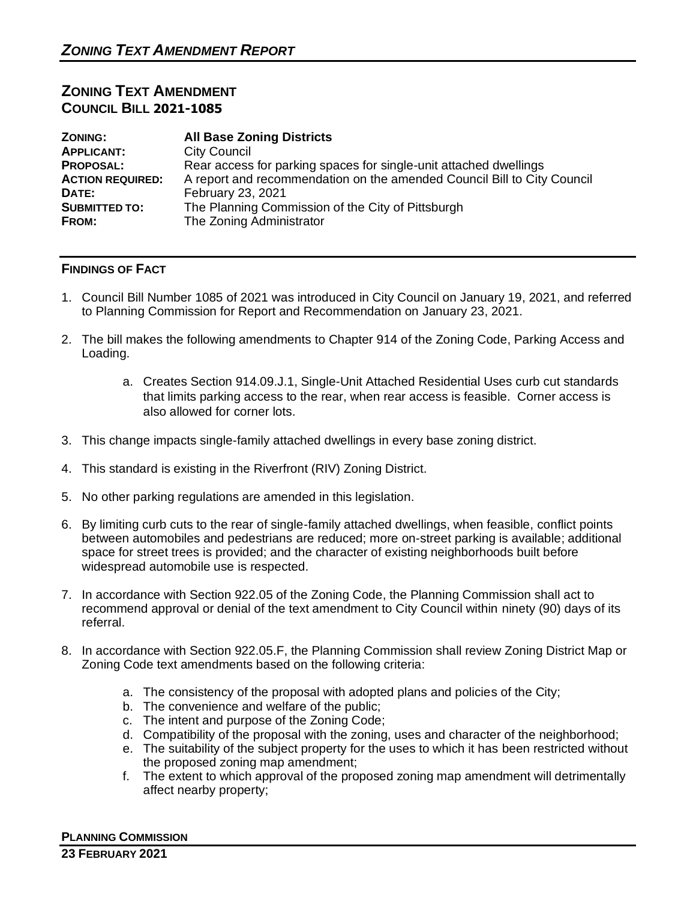## **ZONING TEXT AMENDMENT COUNCIL BILL 2021-1085**

| <b>ZONING:</b>          | <b>All Base Zoning Districts</b>                                        |
|-------------------------|-------------------------------------------------------------------------|
| <b>APPLICANT:</b>       | <b>City Council</b>                                                     |
| <b>PROPOSAL:</b>        | Rear access for parking spaces for single-unit attached dwellings       |
| <b>ACTION REQUIRED:</b> | A report and recommendation on the amended Council Bill to City Council |
| DATE:                   | February 23, 2021                                                       |
| <b>SUBMITTED TO:</b>    | The Planning Commission of the City of Pittsburgh                       |
| FROM:                   | The Zoning Administrator                                                |

## **FINDINGS OF FACT**

- 1. Council Bill Number 1085 of 2021 was introduced in City Council on January 19, 2021, and referred to Planning Commission for Report and Recommendation on January 23, 2021.
- 2. The bill makes the following amendments to Chapter 914 of the Zoning Code, Parking Access and Loading.
	- a. Creates Section 914.09.J.1, Single-Unit Attached Residential Uses curb cut standards that limits parking access to the rear, when rear access is feasible. Corner access is also allowed for corner lots.
- 3. This change impacts single-family attached dwellings in every base zoning district.
- 4. This standard is existing in the Riverfront (RIV) Zoning District.
- 5. No other parking regulations are amended in this legislation.
- 6. By limiting curb cuts to the rear of single-family attached dwellings, when feasible, conflict points between automobiles and pedestrians are reduced; more on-street parking is available; additional space for street trees is provided; and the character of existing neighborhoods built before widespread automobile use is respected.
- 7. In accordance with Section 922.05 of the Zoning Code, the Planning Commission shall act to recommend approval or denial of the text amendment to City Council within ninety (90) days of its referral.
- 8. In accordance with Section 922.05.F, the Planning Commission shall review Zoning District Map or Zoning Code text amendments based on the following criteria:
	- a. The consistency of the proposal with adopted plans and policies of the City;
	- b. The convenience and welfare of the public;
	- c. The intent and purpose of the Zoning Code;
	- d. Compatibility of the proposal with the zoning, uses and character of the neighborhood;
	- e. The suitability of the subject property for the uses to which it has been restricted without the proposed zoning map amendment;
	- f. The extent to which approval of the proposed zoning map amendment will detrimentally affect nearby property;